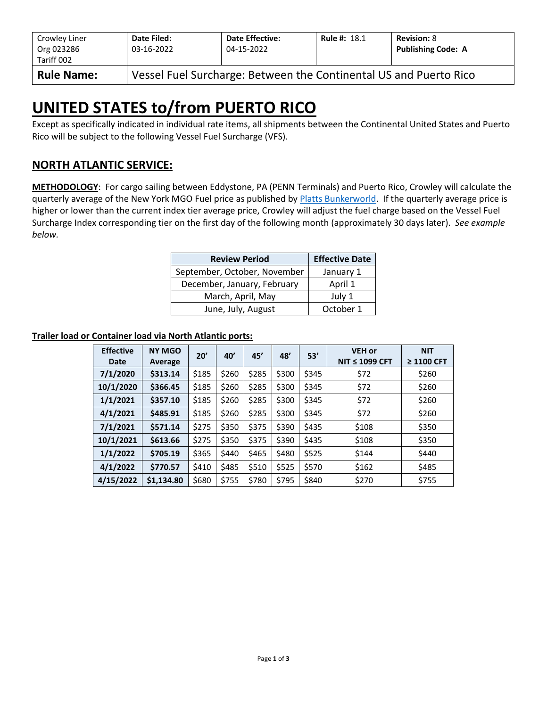| Crowley Liner<br>Org 023286<br>Tariff 002 | Date Filed:<br>03-16-2022                                         | <b>Date Effective:</b><br>04-15-2022 | <b>Rule #: 18.1</b> | <b>Revision: 8</b><br><b>Publishing Code: A</b> |  |  |  |  |
|-------------------------------------------|-------------------------------------------------------------------|--------------------------------------|---------------------|-------------------------------------------------|--|--|--|--|
| <b>Rule Name:</b>                         | Vessel Fuel Surcharge: Between the Continental US and Puerto Rico |                                      |                     |                                                 |  |  |  |  |

# **UNITED STATES to/from PUERTO RICO**

Except as specifically indicated in individual rate items, all shipments between the Continental United States and Puerto Rico will be subject to the following Vessel Fuel Surcharge (VFS).

### **NORTH ATLANTIC SERVICE:**

**METHODOLOGY**: For cargo sailing between Eddystone, PA (PENN Terminals) and Puerto Rico, Crowley will calculate the quarterly average of the New York MGO Fuel price as published by [Platts Bunkerworld.](http://www.bunkerworld.com/) If the quarterly average price is higher or lower than the current index tier average price, Crowley will adjust the fuel charge based on the Vessel Fuel Surcharge Index corresponding tier on the first day of the following month (approximately 30 days later). *See example below.*

| <b>Review Period</b>         | <b>Effective Date</b> |
|------------------------------|-----------------------|
| September, October, November | January 1             |
| December, January, February  | April 1               |
| March, April, May            | July 1                |
| June, July, August           | October 1             |

#### **Trailer load or Container load via North Atlantic ports:**

| <b>Effective</b><br>Date | <b>NY MGO</b><br>Average | 20'   | 40'   | 45'   | 48'   | 53'   | <b>VEH or</b><br>NIT $\leq$ 1099 CFT | <b>NIT</b><br>$\geq$ 1100 CFT |
|--------------------------|--------------------------|-------|-------|-------|-------|-------|--------------------------------------|-------------------------------|
| 7/1/2020                 | \$313.14                 | \$185 | \$260 | \$285 | \$300 | \$345 | \$72                                 | \$260                         |
| 10/1/2020                | \$366.45                 | \$185 | \$260 | \$285 | \$300 | \$345 | \$72                                 | \$260                         |
| 1/1/2021                 | \$357.10                 | \$185 | \$260 | \$285 | \$300 | \$345 | \$72                                 | \$260                         |
| 4/1/2021                 | \$485.91                 | \$185 | \$260 | \$285 | \$300 | \$345 | \$72                                 | \$260                         |
| 7/1/2021                 | \$571.14                 | \$275 | \$350 | \$375 | \$390 | \$435 | \$108                                | \$350                         |
| 10/1/2021                | \$613.66                 | \$275 | \$350 | \$375 | \$390 | \$435 | \$108                                | \$350                         |
| 1/1/2022                 | \$705.19                 | \$365 | \$440 | \$465 | \$480 | \$525 | \$144                                | \$440                         |
| 4/1/2022                 | \$770.57                 | \$410 | \$485 | \$510 | \$525 | \$570 | \$162                                | \$485                         |
| 4/15/2022                | \$1,134.80               | \$680 | \$755 | \$780 | \$795 | \$840 | \$270                                | \$755                         |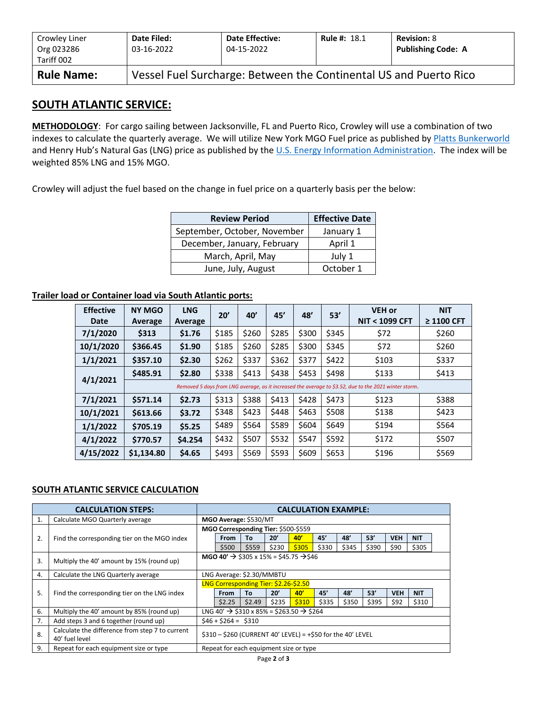| Crowley Liner<br>Org 023286<br>Tariff 002 | Date Filed:<br>03-16-2022                                         | <b>Date Effective:</b><br>04-15-2022 | <b>Rule #: 18.1</b> | <b>Revision: 8</b><br><b>Publishing Code: A</b> |  |  |  |  |
|-------------------------------------------|-------------------------------------------------------------------|--------------------------------------|---------------------|-------------------------------------------------|--|--|--|--|
| <b>Rule Name:</b>                         | Vessel Fuel Surcharge: Between the Continental US and Puerto Rico |                                      |                     |                                                 |  |  |  |  |

### **SOUTH ATLANTIC SERVICE:**

**METHODOLOGY**: For cargo sailing between Jacksonville, FL and Puerto Rico, Crowley will use a combination of two indexes to calculate the quarterly average. We will utilize New York MGO Fuel price as published by [Platts Bunkerworld](http://www.bunkerworld.com/) and Henry Hub's Natural Gas (LNG) price as published by the [U.S. Energy Information Administration.](https://www.eia.gov/dnav/ng/hist/rngwhhdD.htm) The index will be weighted 85% LNG and 15% MGO.

Crowley will adjust the fuel based on the change in fuel price on a quarterly basis per the below:

| <b>Review Period</b>         | <b>Effective Date</b> |
|------------------------------|-----------------------|
| September, October, November | January 1             |
| December, January, February  | April 1               |
| March, April, May            | July 1                |
| June, July, August           | October 1             |

#### **Trailer load or Container load via South Atlantic ports:**

| <b>Effective</b><br>Date | <b>NY MGO</b><br>Average                                                                              | <b>LNG</b><br>Average | 20'   | 40'   | 45'   | 48'   | 53'   | <b>VEH or</b><br><b>NIT &lt; 1099 CFT</b> | <b>NIT</b><br>$\geq$ 1100 CFT |  |  |  |
|--------------------------|-------------------------------------------------------------------------------------------------------|-----------------------|-------|-------|-------|-------|-------|-------------------------------------------|-------------------------------|--|--|--|
| 7/1/2020                 | \$313                                                                                                 | \$1.76                | \$185 | \$260 | \$285 | \$300 | \$345 | \$72                                      | \$260                         |  |  |  |
| 10/1/2020                | \$366.45                                                                                              | \$1.90                | \$185 | \$260 | \$285 | \$300 | \$345 | \$72                                      | \$260                         |  |  |  |
| 1/1/2021                 | \$357.10                                                                                              | \$2.30                | \$262 | \$337 | \$362 | \$377 | \$422 | \$103                                     | \$337                         |  |  |  |
|                          | \$485.91                                                                                              | \$2.80                | \$338 | \$413 | \$438 | \$453 | \$498 | \$133                                     | \$413                         |  |  |  |
| 4/1/2021                 | Removed 5 days from LNG average, as it increased the average to \$3.52, due to the 2021 winter storm. |                       |       |       |       |       |       |                                           |                               |  |  |  |
| 7/1/2021                 | \$571.14                                                                                              | \$2.73                | \$313 | \$388 | \$413 | \$428 | \$473 | \$123                                     | \$388                         |  |  |  |
| 10/1/2021                | \$613.66                                                                                              | \$3.72                | \$348 | \$423 | \$448 | \$463 | \$508 | \$138                                     | \$423                         |  |  |  |
| 1/1/2022                 | \$705.19                                                                                              | \$5.25                | \$489 | \$564 | \$589 | \$604 | \$649 | \$194                                     | \$564                         |  |  |  |
| 4/1/2022                 | \$770.57                                                                                              | \$4.254               | \$432 | \$507 | \$532 | \$547 | \$592 | \$172                                     | \$507                         |  |  |  |
| 4/15/2022                | \$1.134.80                                                                                            | \$4.65                | \$493 | \$569 | \$593 | \$609 | \$653 | \$196                                     | \$569                         |  |  |  |

#### **SOUTH ATLANTIC SERVICE CALCULATION**

|    | <b>CALCULATION STEPS:</b>                                         | <b>CALCULATION EXAMPLE:</b>                                    |                                                                  |        |       |       |       |       |       |            |            |  |
|----|-------------------------------------------------------------------|----------------------------------------------------------------|------------------------------------------------------------------|--------|-------|-------|-------|-------|-------|------------|------------|--|
| 1. | Calculate MGO Quarterly average                                   | MGO Average: \$530/MT                                          |                                                                  |        |       |       |       |       |       |            |            |  |
|    |                                                                   | MGO Corresponding Tier: \$500-\$559                            |                                                                  |        |       |       |       |       |       |            |            |  |
| 2. | Find the corresponding tier on the MGO index                      |                                                                | From                                                             | To     | 20'   | 40'   | 45'   | 48'   | 53'   | <b>VEH</b> | <b>NIT</b> |  |
|    |                                                                   |                                                                | \$500                                                            | \$559  | \$230 | \$305 | \$330 | \$345 | \$390 | \$90       | \$305      |  |
| 3. | Multiply the 40' amount by 15% (round up)                         | MGO 40' $\rightarrow$ \$305 x 15% = \$45.75 $\rightarrow$ \$46 |                                                                  |        |       |       |       |       |       |            |            |  |
| 4. | Calculate the LNG Quarterly average                               |                                                                | LNG Average: \$2.30/MMBTU                                        |        |       |       |       |       |       |            |            |  |
|    |                                                                   |                                                                | LNG Corresponding Tier: \$2.26-\$2.50                            |        |       |       |       |       |       |            |            |  |
| 5. | Find the corresponding tier on the LNG index                      |                                                                | <b>From</b>                                                      | To     | 20'   | 40'   | 45'   | 48'   | 53'   | <b>VEH</b> | <b>NIT</b> |  |
|    |                                                                   |                                                                | \$2.25                                                           | \$2.49 | \$235 | \$310 | \$335 | \$350 | \$395 | \$92       | \$310      |  |
| 6. | Multiply the 40' amount by 85% (round up)                         |                                                                | LNG 40' $\rightarrow$ \$310 x 85% = \$263.50 $\rightarrow$ \$264 |        |       |       |       |       |       |            |            |  |
| 7. | Add steps 3 and 6 together (round up)                             |                                                                | $$46 + $264 = $310$                                              |        |       |       |       |       |       |            |            |  |
| 8. | Calculate the difference from step 7 to current<br>40' fuel level | \$310 - \$260 (CURRENT 40' LEVEL) = +\$50 for the 40' LEVEL    |                                                                  |        |       |       |       |       |       |            |            |  |
| 9. | Repeat for each equipment size or type                            |                                                                | Repeat for each equipment size or type                           |        |       |       |       |       |       |            |            |  |